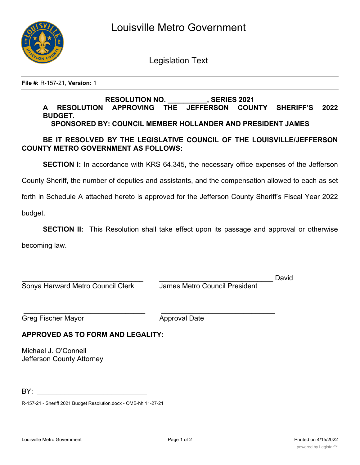

Legislation Text

**File #:** R-157-21, **Version:** 1

#### **RESOLUTION NO. \_\_\_\_\_\_\_\_\_\_, SERIES 2021 A RESOLUTION APPROVING THE JEFFERSON COUNTY SHERIFF'S 2022 BUDGET. SPONSORED BY: COUNCIL MEMBER HOLLANDER AND PRESIDENT JAMES**

# **BE IT RESOLVED BY THE LEGISLATIVE COUNCIL OF THE LOUISVILLE/JEFFERSON COUNTY METRO GOVERNMENT AS FOLLOWS:**

**SECTION I:** In accordance with KRS 64.345, the necessary office expenses of the Jefferson

County Sheriff, the number of deputies and assistants, and the compensation allowed to each as set

forth in Schedule A attached hereto is approved for the Jefferson County Sheriff's Fiscal Year 2022

budget.

**SECTION II:** This Resolution shall take effect upon its passage and approval or otherwise

becoming law.

|                                   |                               | David |
|-----------------------------------|-------------------------------|-------|
| Sonya Harward Metro Council Clerk | James Metro Council President |       |
| Greg Fischer Mayor                | <b>Approval Date</b>          |       |
|                                   |                               |       |

## **APPROVED AS TO FORM AND LEGALITY:**

Michael J. O'Connell Jefferson County Attorney

BY: \_\_\_\_\_\_\_\_\_\_\_\_\_\_\_\_\_\_\_\_\_\_\_\_\_\_\_\_

R-157-21 - Sheriff 2021 Budget Resolution.docx - OMB-hh 11-27-21